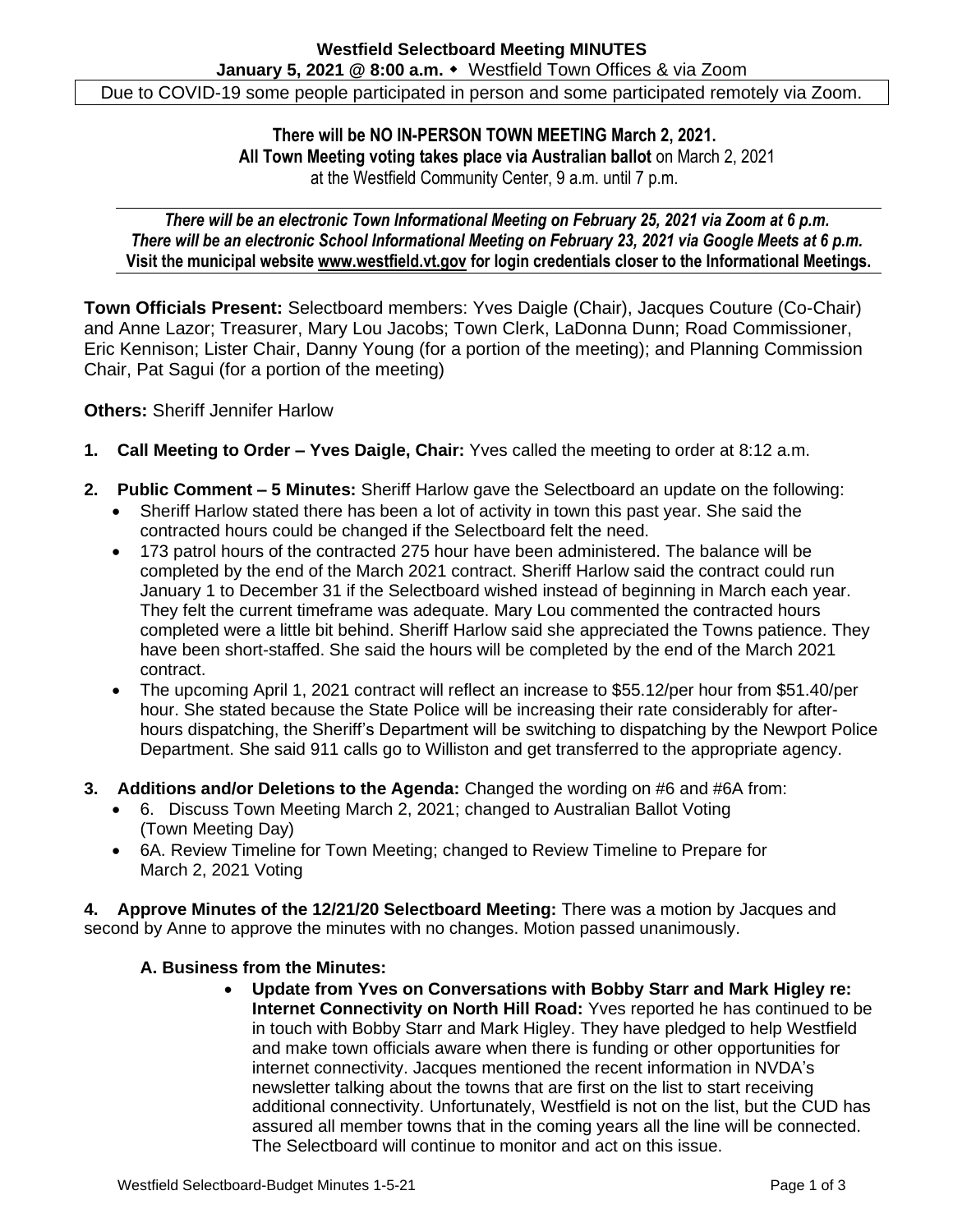**There will be NO IN-PERSON TOWN MEETING March 2, 2021. All Town Meeting voting takes place via Australian ballot** on March 2, 2021 at the Westfield Community Center, 9 a.m. until 7 p.m.

*There will be an electronic Town Informational Meeting on February 25, 2021 via Zoom at 6 p.m. There will be an electronic School Informational Meeting on February 23, 2021 via Google Meets at 6 p.m.* **Visit the municipal website [www.westfield.vt.gov](http://www.westfield.vt.gov/) for login credentials closer to the Informational Meetings.**

**Town Officials Present:** Selectboard members: Yves Daigle (Chair), Jacques Couture (Co-Chair) and Anne Lazor; Treasurer, Mary Lou Jacobs; Town Clerk, LaDonna Dunn; Road Commissioner, Eric Kennison; Lister Chair, Danny Young (for a portion of the meeting); and Planning Commission Chair, Pat Sagui (for a portion of the meeting)

**Others:** Sheriff Jennifer Harlow

- **1. Call Meeting to Order – Yves Daigle, Chair:** Yves called the meeting to order at 8:12 a.m.
- **2. Public Comment – 5 Minutes:** Sheriff Harlow gave the Selectboard an update on the following:
	- Sheriff Harlow stated there has been a lot of activity in town this past year. She said the contracted hours could be changed if the Selectboard felt the need.
	- 173 patrol hours of the contracted 275 hour have been administered. The balance will be completed by the end of the March 2021 contract. Sheriff Harlow said the contract could run January 1 to December 31 if the Selectboard wished instead of beginning in March each year. They felt the current timeframe was adequate. Mary Lou commented the contracted hours completed were a little bit behind. Sheriff Harlow said she appreciated the Towns patience. They have been short-staffed. She said the hours will be completed by the end of the March 2021 contract.
	- The upcoming April 1, 2021 contract will reflect an increase to \$55.12/per hour from \$51.40/per hour. She stated because the State Police will be increasing their rate considerably for afterhours dispatching, the Sheriff's Department will be switching to dispatching by the Newport Police Department. She said 911 calls go to Williston and get transferred to the appropriate agency.
- **3. Additions and/or Deletions to the Agenda:** Changed the wording on #6 and #6A from:
	- 6. Discuss Town Meeting March 2, 2021; changed to Australian Ballot Voting (Town Meeting Day)
	- 6A. Review Timeline for Town Meeting; changed to Review Timeline to Prepare for March 2, 2021 Voting

**4. Approve Minutes of the 12/21/20 Selectboard Meeting:** There was a motion by Jacques and second by Anne to approve the minutes with no changes. Motion passed unanimously.

## **A. Business from the Minutes:**

• **Update from Yves on Conversations with Bobby Starr and Mark Higley re: Internet Connectivity on North Hill Road:** Yves reported he has continued to be in touch with Bobby Starr and Mark Higley. They have pledged to help Westfield and make town officials aware when there is funding or other opportunities for internet connectivity. Jacques mentioned the recent information in NVDA's newsletter talking about the towns that are first on the list to start receiving additional connectivity. Unfortunately, Westfield is not on the list, but the CUD has assured all member towns that in the coming years all the line will be connected. The Selectboard will continue to monitor and act on this issue.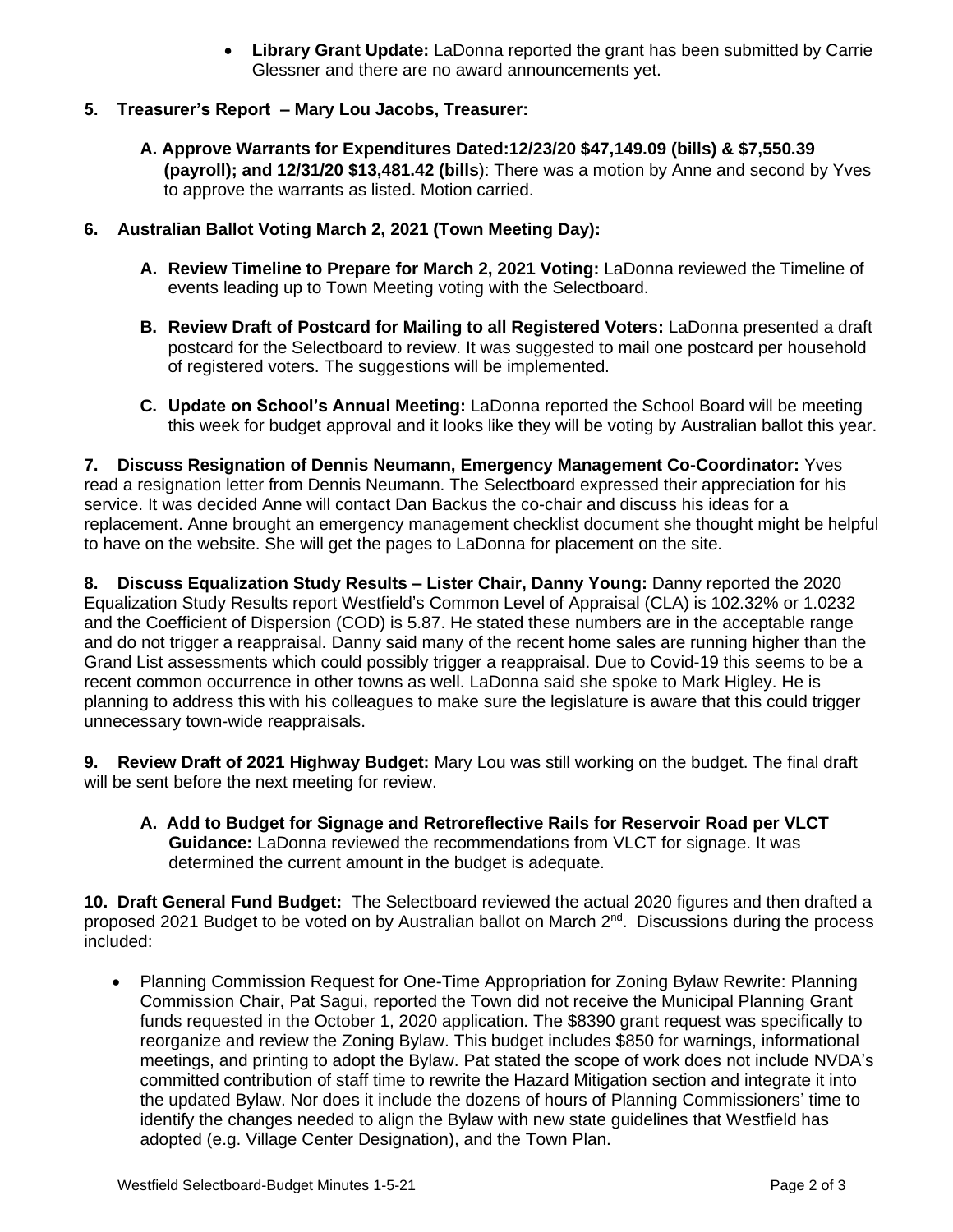• **Library Grant Update:** LaDonna reported the grant has been submitted by Carrie Glessner and there are no award announcements yet.

## **5. Treasurer's Report – Mary Lou Jacobs, Treasurer:**

- **A. Approve Warrants for Expenditures Dated:12/23/20 \$47,149.09 (bills) & \$7,550.39 (payroll); and 12/31/20 \$13,481.42 (bills**): There was a motion by Anne and second by Yves to approve the warrants as listed. Motion carried.
- **6. Australian Ballot Voting March 2, 2021 (Town Meeting Day):**
	- **A. Review Timeline to Prepare for March 2, 2021 Voting:** LaDonna reviewed the Timeline of events leading up to Town Meeting voting with the Selectboard.
	- **B. Review Draft of Postcard for Mailing to all Registered Voters:** LaDonna presented a draft postcard for the Selectboard to review. It was suggested to mail one postcard per household of registered voters. The suggestions will be implemented.
	- **C. Update on School's Annual Meeting:** LaDonna reported the School Board will be meeting this week for budget approval and it looks like they will be voting by Australian ballot this year.

**7. Discuss Resignation of Dennis Neumann, Emergency Management Co-Coordinator:** Yves read a resignation letter from Dennis Neumann. The Selectboard expressed their appreciation for his service. It was decided Anne will contact Dan Backus the co-chair and discuss his ideas for a replacement. Anne brought an emergency management checklist document she thought might be helpful to have on the website. She will get the pages to LaDonna for placement on the site.

**8. Discuss Equalization Study Results – Lister Chair, Danny Young:** Danny reported the 2020 Equalization Study Results report Westfield's Common Level of Appraisal (CLA) is 102.32% or 1.0232 and the Coefficient of Dispersion (COD) is 5.87. He stated these numbers are in the acceptable range and do not trigger a reappraisal. Danny said many of the recent home sales are running higher than the Grand List assessments which could possibly trigger a reappraisal. Due to Covid-19 this seems to be a recent common occurrence in other towns as well. LaDonna said she spoke to Mark Higley. He is planning to address this with his colleagues to make sure the legislature is aware that this could trigger unnecessary town-wide reappraisals.

**9. Review Draft of 2021 Highway Budget:** Mary Lou was still working on the budget. The final draft will be sent before the next meeting for review.

**A. Add to Budget for Signage and Retroreflective Rails for Reservoir Road per VLCT Guidance:** LaDonna reviewed the recommendations from VLCT for signage. It was determined the current amount in the budget is adequate.

**10. Draft General Fund Budget:** The Selectboard reviewed the actual 2020 figures and then drafted a proposed 2021 Budget to be voted on by Australian ballot on March 2<sup>nd</sup>. Discussions during the process included:

• Planning Commission Request for One-Time Appropriation for Zoning Bylaw Rewrite: Planning Commission Chair, Pat Sagui, reported the Town did not receive the Municipal Planning Grant funds requested in the October 1, 2020 application. The \$8390 grant request was specifically to reorganize and review the Zoning Bylaw. This budget includes \$850 for warnings, informational meetings, and printing to adopt the Bylaw. Pat stated the scope of work does not include NVDA's committed contribution of staff time to rewrite the Hazard Mitigation section and integrate it into the updated Bylaw. Nor does it include the dozens of hours of Planning Commissioners' time to identify the changes needed to align the Bylaw with new state guidelines that Westfield has adopted (e.g. Village Center Designation), and the Town Plan.